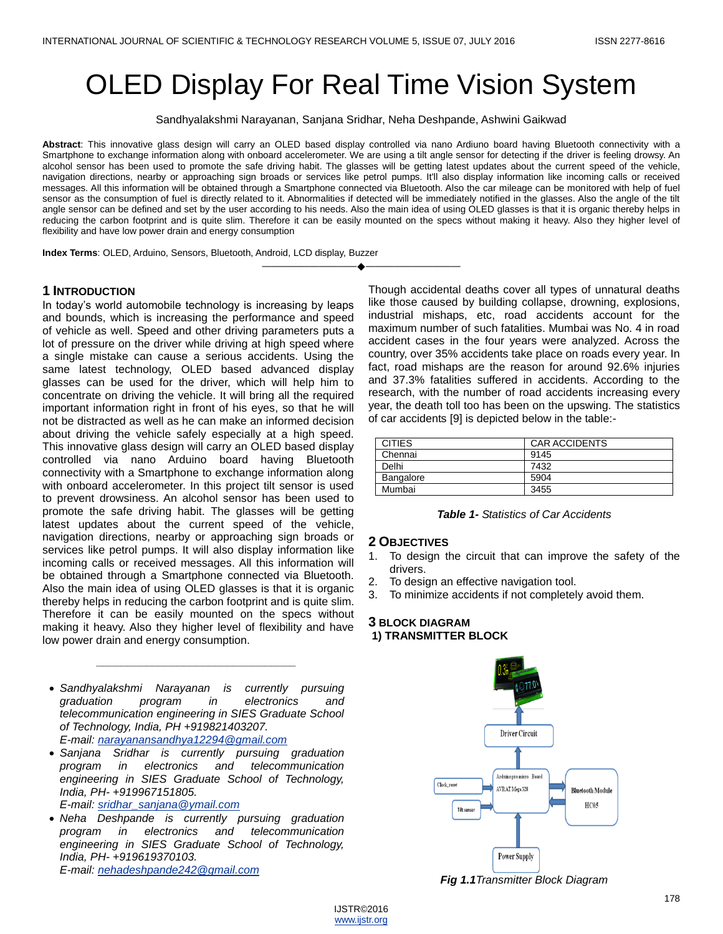# OLED Display For Real Time Vision System

Sandhyalakshmi Narayanan, Sanjana Sridhar, Neha Deshpande, Ashwini Gaikwad

**Abstract**: This innovative glass design will carry an OLED based display controlled via nano Ardiuno board having Bluetooth connectivity with a Smartphone to exchange information along with onboard accelerometer. We are using a tilt angle sensor for detecting if the driver is feeling drowsy. An alcohol sensor has been used to promote the safe driving habit. The glasses will be getting latest updates about the current speed of the vehicle, navigation directions, nearby or approaching sign broads or services like petrol pumps. It'll also display information like incoming calls or received messages. All this information will be obtained through a Smartphone connected via Bluetooth. Also the car mileage can be monitored with help of fuel sensor as the consumption of fuel is directly related to it. Abnormalities if detected will be immediately notified in the glasses. Also the angle of the tilt angle sensor can be defined and set by the user according to his needs. Also the main idea of using OLED glasses is that it is organic thereby helps in reducing the carbon footprint and is quite slim. Therefore it can be easily mounted on the specs without making it heavy. Also they higher level of flexibility and have low power drain and energy consumption

————————————————————

**Index Terms**: OLED, Arduino, Sensors, Bluetooth, Android, LCD display, Buzzer

# **1 INTRODUCTION**

In today's world automobile technology is increasing by leaps and bounds, which is increasing the performance and speed of vehicle as well. Speed and other driving parameters puts a lot of pressure on the driver while driving at high speed where a single mistake can cause a serious accidents. Using the same latest technology, OLED based advanced display glasses can be used for the driver, which will help him to concentrate on driving the vehicle. It will bring all the required important information right in front of his eyes, so that he will not be distracted as well as he can make an informed decision about driving the vehicle safely especially at a high speed. This innovative glass design will carry an OLED based display controlled via nano Arduino board having Bluetooth connectivity with a Smartphone to exchange information along with onboard accelerometer. In this project tilt sensor is used to prevent drowsiness. An alcohol sensor has been used to promote the safe driving habit. The glasses will be getting latest updates about the current speed of the vehicle, navigation directions, nearby or approaching sign broads or services like petrol pumps. It will also display information like incoming calls or received messages. All this information will be obtained through a Smartphone connected via Bluetooth. Also the main idea of using OLED glasses is that it is organic thereby helps in reducing the carbon footprint and is quite slim. Therefore it can be easily mounted on the specs without making it heavy. Also they higher level of flexibility and have low power drain and energy consumption.

 *Sandhyalakshmi Narayanan is currently pursuing graduation program in electronics and telecommunication engineering in SIES Graduate School of Technology, India, PH +919821403207. E-mail: [narayanansandhya12294@gmail.com](mailto:narayanansandhya12294@gmail.com)*

*\_\_\_\_\_\_\_\_\_\_\_\_\_\_\_\_\_\_\_\_\_\_\_\_\_\_\_\_\_\_\_\_*

 *Sanjana Sridhar is currently pursuing graduation program in electronics and telecommunication engineering in SIES Graduate School of Technology, India, PH- +919967151805.* 

*E-mail: [sridhar\\_sanjana@ymail.com](mailto:sridhar_sanjana@ymail.com)* 

 *Neha Deshpande is currently pursuing graduation program in electronics and telecommunication engineering in SIES Graduate School of Technology, India, PH- +919619370103. E-mail: [nehadeshpande242@gmail.com](mailto:nehadeshpande242@gmail.com)*

Though accidental deaths cover all types of unnatural deaths like those caused by building collapse, drowning, explosions, industrial mishaps, etc, road accidents account for the maximum number of such fatalities. Mumbai was No. 4 in road accident cases in the four years were analyzed. Across the country, over 35% accidents take place on roads every year. In fact, road mishaps are the reason for around 92.6% injuries and 37.3% fatalities suffered in accidents. According to the research, with the number of road accidents increasing every year, the death toll too has been on the upswing. The statistics of car accidents [9] is depicted below in the table:-

| <b>CITIES</b> | <b>CAR ACCIDENTS</b> |
|---------------|----------------------|
| Chennai       | 9145                 |
| Delhi         | 7432                 |
| Bangalore     | 5904                 |
| Mumbai        | 3455                 |

### *Table 1- Statistics of Car Accidents*

#### **2 OBJECTIVES**

- 1. To design the circuit that can improve the safety of the drivers.
- 2. To design an effective navigation tool.
- 3. To minimize accidents if not completely avoid them.

## **3 BLOCK DIAGRAM 1) TRANSMITTER BLOCK**



*Fig 1.1Transmitter Block Diagram*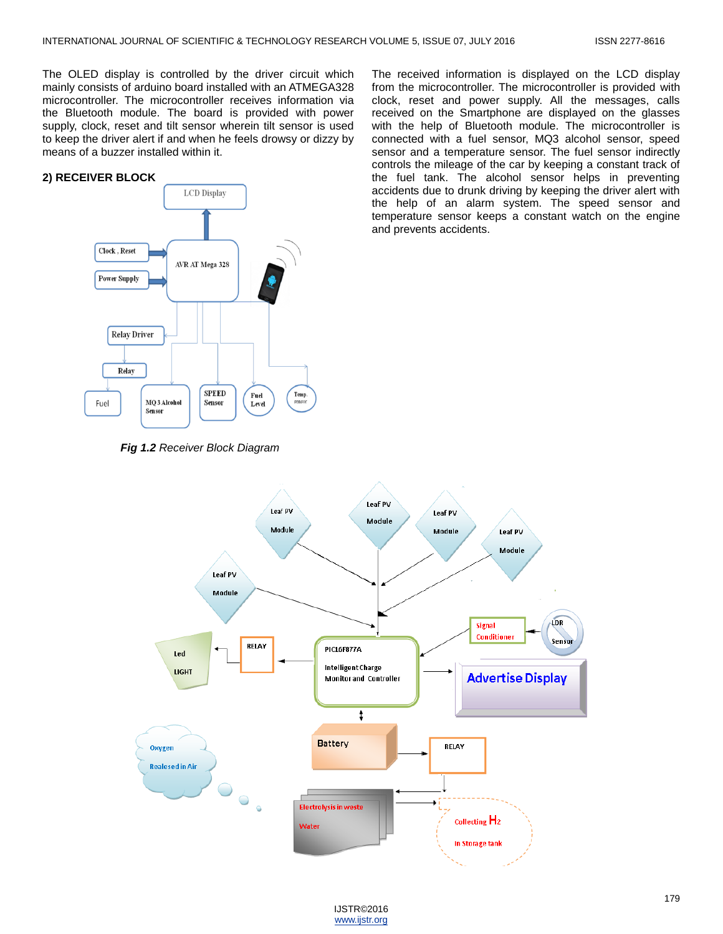The OLED display is controlled by the driver circuit which mainly consists of arduino board installed with an ATMEGA328 microcontroller. The microcontroller receives information via the Bluetooth module. The board is provided with power supply, clock, reset and tilt sensor wherein tilt sensor is used to keep the driver alert if and when he feels drowsy or dizzy by means of a buzzer installed within it.

#### **2) RECEIVER BLOCK**



*Fig 1.2 Receiver Block Diagram*

The received information is displayed on the LCD display from the microcontroller. The microcontroller is provided with clock, reset and power supply. All the messages, calls received on the Smartphone are displayed on the glasses with the help of Bluetooth module. The microcontroller is connected with a fuel sensor, MQ3 alcohol sensor, speed sensor and a temperature sensor. The fuel sensor indirectly controls the mileage of the car by keeping a constant track of the fuel tank. The alcohol sensor helps in preventing accidents due to drunk driving by keeping the driver alert with the help of an alarm system. The speed sensor and temperature sensor keeps a constant watch on the engine and prevents accidents.



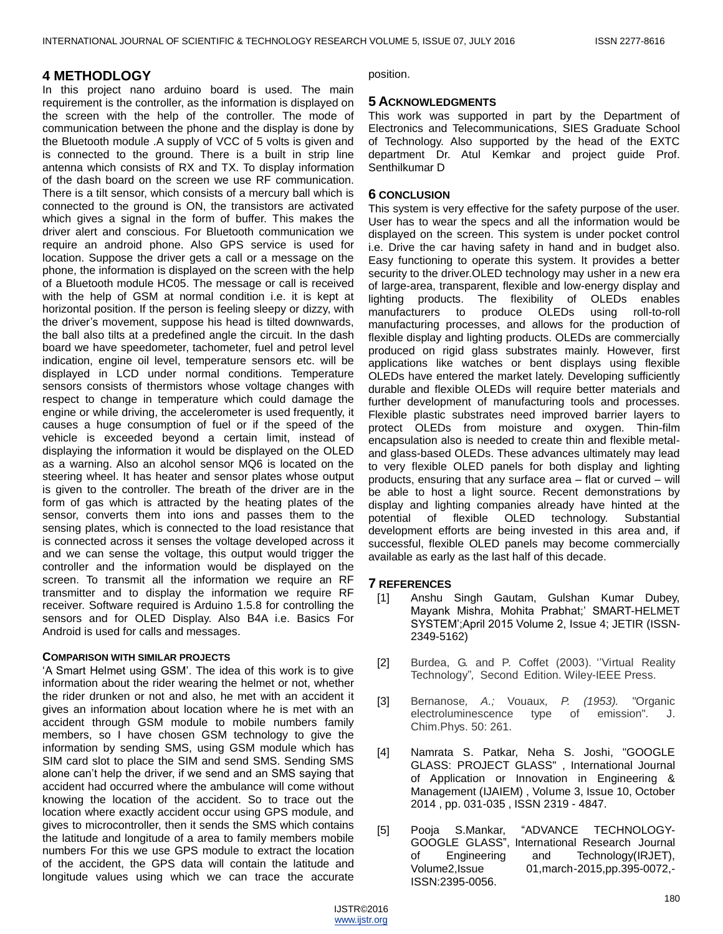# **4 METHODLOGY**

In this project nano arduino board is used. The main requirement is the controller, as the information is displayed on the screen with the help of the controller. The mode of communication between the phone and the display is done by the Bluetooth module .A supply of VCC of 5 volts is given and is connected to the ground. There is a built in strip line antenna which consists of RX and TX. To display information of the dash board on the screen we use RF communication. There is a tilt sensor, which consists of a mercury ball which is connected to the ground is ON, the transistors are activated which gives a signal in the form of buffer. This makes the driver alert and conscious. For Bluetooth communication we require an android phone. Also GPS service is used for location. Suppose the driver gets a call or a message on the phone, the information is displayed on the screen with the help of a Bluetooth module HC05. The message or call is received with the help of GSM at normal condition i.e. it is kept at horizontal position. If the person is feeling sleepy or dizzy, with the driver's movement, suppose his head is tilted downwards, the ball also tilts at a predefined angle the circuit. In the dash board we have speedometer, tachometer, fuel and petrol level indication, engine oil level, temperature sensors etc. will be displayed in LCD under normal conditions. Temperature sensors consists of thermistors whose voltage changes with respect to change in temperature which could damage the engine or while driving, the accelerometer is used frequently, it causes a huge consumption of fuel or if the speed of the vehicle is exceeded beyond a certain limit, instead of displaying the information it would be displayed on the OLED as a warning. Also an alcohol sensor MQ6 is located on the steering wheel. It has heater and sensor plates whose output is given to the controller. The breath of the driver are in the form of gas which is attracted by the heating plates of the sensor, converts them into ions and passes them to the sensing plates, which is connected to the load resistance that is connected across it senses the voltage developed across it and we can sense the voltage, this output would trigger the controller and the information would be displayed on the screen. To transmit all the information we require an RF transmitter and to display the information we require RF receiver. Software required is Arduino 1.5.8 for controlling the sensors and for OLED Display. Also B4A i.e. Basics For Android is used for calls and messages.

## **COMPARISON WITH SIMILAR PROJECTS**

'A Smart Helmet using GSM'. The idea of this work is to give information about the rider wearing the helmet or not, whether the rider drunken or not and also, he met with an accident it gives an information about location where he is met with an accident through GSM module to mobile numbers family members, so I have chosen GSM technology to give the information by sending SMS, using GSM module which has SIM card slot to place the SIM and send SMS. Sending SMS alone can't help the driver, if we send and an SMS saying that accident had occurred where the ambulance will come without knowing the location of the accident. So to trace out the location where exactly accident occur using GPS module, and gives to microcontroller, then it sends the SMS which contains the latitude and longitude of a area to family members mobile numbers For this we use GPS module to extract the location of the accident, the GPS data will contain the latitude and longitude values using which we can trace the accurate

position.

# **5 ACKNOWLEDGMENTS**

This work was supported in part by the Department of Electronics and Telecommunications, SIES Graduate School of Technology. Also supported by the head of the EXTC department Dr. Atul Kemkar and project guide Prof. Senthilkumar D

# **6 CONCLUSION**

This system is very effective for the safety purpose of the user. User has to wear the specs and all the information would be displayed on the screen. This system is under pocket control i.e. Drive the car having safety in hand and in budget also. Easy functioning to operate this system. It provides a better security to the driver. OLED technology may usher in a new era of large-area, transparent, flexible and low-energy display and lighting products. The flexibility of [OLEDs](http://www.novaled.com/glossary/?tx_a21glossary%5Buid%5D=1&cHash=5f5821a0548b298db763147c6f8d71c0) enables manufacturers to produce OLEDs using roll-to-roll manufacturing processes, and allows for the production of flexible display and lighting products. OLEDs are commercially produced on rigid glass substrates mainly. However, first applications like watches or bent displays using flexible OLEDs have entered the market lately. Developing sufficiently durable and flexible OLEDs will require better materials and further development of manufacturing tools and processes. Flexible plastic substrates need improved barrier layers to protect OLEDs from moisture and oxygen. Thin-film encapsulation also is needed to create thin and flexible metaland glass-based OLEDs. These advances ultimately may lead to very flexible OLED panels for both display and lighting products, ensuring that any surface area – flat or curved – will be able to host a light source. Recent demonstrations by display and lighting companies already have hinted at the potential of flexible OLED technology. Substantial development efforts are being invested in this area and, if successful, flexible OLED panels may become commercially available as early as the last half of this decade.

# **7 REFERENCES**

- [1] Anshu Singh Gautam, Gulshan Kumar Dubey, Mayank Mishra, Mohita Prabhat;' SMART-HELMET SYSTEM';April 2015 Volume 2, Issue 4; JETIR (ISSN-2349-5162)
- [2] Burdea, G. and P. Coffet (2003). "Virtual Reality Technology''*,* Second Edition. Wiley-IEEE Press.
- [3] Bernanose*, A.;* Vouaux*, P. (1953).* "Organic electroluminescence type of emission". J. Chim.Phys. 50: 261.
- [4] Namrata S. Patkar, Neha S. Joshi, "GOOGLE GLASS: PROJECT GLASS" , International Journal of Application or Innovation in Engineering & Management (IJAIEM) , Volume 3, Issue 10, October 2014 , pp. 031-035 , ISSN 2319 - 4847.
- [5] Pooja S.Mankar, "ADVANCE TECHNOLOGY-GOOGLE GLASS", International Research Journal of Engineering and Technology(IRJET), Volume2,Issue 01,march-2015,pp.395-0072,- ISSN:2395-0056.